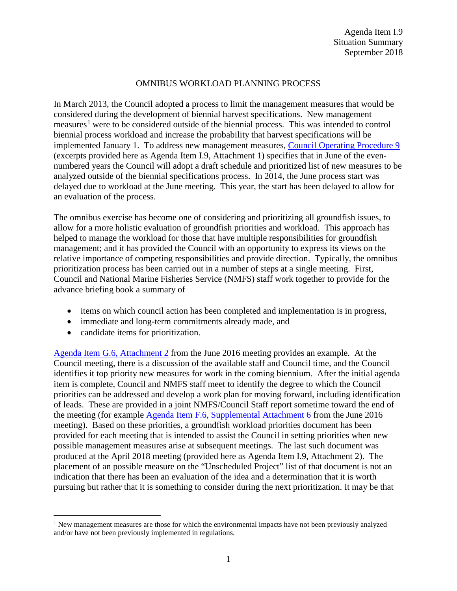## OMNIBUS WORKLOAD PLANNING PROCESS

In March 2013, the Council adopted a process to limit the management measuresthat would be considered during the development of biennial harvest specifications. New management measures<sup>[1](#page-0-0)</sup> were to be considered outside of the biennial process. This was intended to control biennial process workload and increase the probability that harvest specifications will be implemented January 1. To address new management measures, [Council Operating Procedure](http://www.pcouncil.org/wp-content/uploads/cop9.pdf) 9 (excerpts provided here as Agenda Item I.9, Attachment 1) specifies that in June of the evennumbered years the Council will adopt a draft schedule and prioritized list of new measures to be analyzed outside of the biennial specifications process. In 2014, the June process start was delayed due to workload at the June meeting. This year, the start has been delayed to allow for an evaluation of the process.

The omnibus exercise has become one of considering and prioritizing all groundfish issues, to allow for a more holistic evaluation of groundfish priorities and workload. This approach has helped to manage the workload for those that have multiple responsibilities for groundfish management; and it has provided the Council with an opportunity to express its views on the relative importance of competing responsibilities and provide direction. Typically, the omnibus prioritization process has been carried out in a number of steps at a single meeting. First, Council and National Marine Fisheries Service (NMFS) staff work together to provide for the advance briefing book a summary of

- items on which council action has been completed and implementation is in progress,
- immediate and long-term commitments already made, and
- candidate items for prioritization.

[Agenda Item G.6, Attachment 2](http://www.pcouncil.org/wp-content/uploads/2016/06/G6_Att2_List_MM_for_Consideration_Final_JUN2016BB.pdf) from the June 2016 meeting provides an example. At the Council meeting, there is a discussion of the available staff and Council time, and the Council identifies it top priority new measures for work in the coming biennium. After the initial agenda item is complete, Council and NMFS staff meet to identify the degree to which the Council priorities can be addressed and develop a work plan for moving forward, including identification of leads. These are provided in a joint NMFS/Council Staff report sometime toward the end of the meeting (for example [Agenda Item F.6, Supplemental Attachment 6](http://www.pcouncil.org/wp-content/uploads/2016/06/F6_Sup_Att6_Joint_NMFS_PFMC_Staff_Response_JUN2016BB.pdf) from the June 2016 meeting). Based on these priorities, a groundfish workload priorities document has been provided for each meeting that is intended to assist the Council in setting priorities when new possible management measures arise at subsequent meetings. The last such document was produced at the April 2018 meeting (provided here as Agenda Item I.9, Attachment 2). The placement of an possible measure on the "Unscheduled Project" list of that document is not an indication that there has been an evaluation of the idea and a determination that it is worth pursuing but rather that it is something to consider during the next prioritization. It may be that

<span id="page-0-0"></span> $1$  New management measures are those for which the environmental impacts have not been previously analyzed and/or have not been previously implemented in regulations.